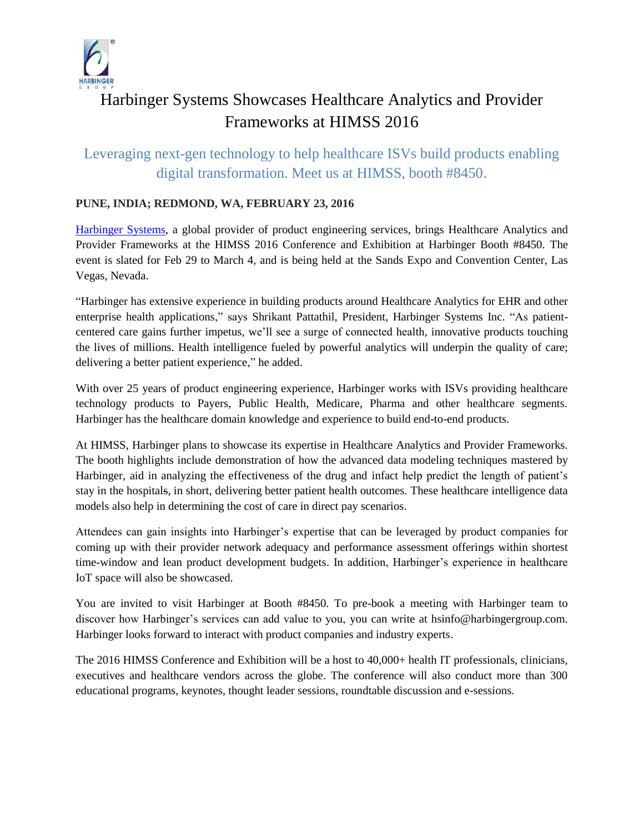

# Harbinger Systems Showcases Healthcare Analytics and Provider Frameworks at HIMSS 2016

# Leveraging next-gen technology to help healthcare ISVs build products enabling digital transformation. Meet us at HIMSS, booth #8450.

## **PUNE, INDIA; REDMOND, WA, FEBRUARY 23, 2016**

[Harbinger Systems,](http://harbinger-systems.com/) a global provider of product engineering services, brings Healthcare Analytics and Provider Frameworks at the HIMSS 2016 Conference and Exhibition at Harbinger Booth #8450. The event is slated for Feb 29 to March 4, and is being held at the Sands Expo and Convention Center, Las Vegas, Nevada.

"Harbinger has extensive experience in building products around Healthcare Analytics for EHR and other enterprise health applications," says Shrikant Pattathil, President, Harbinger Systems Inc. "As patientcentered care gains further impetus, we'll see a surge of connected health, innovative products touching the lives of millions. Health intelligence fueled by powerful analytics will underpin the quality of care; delivering a better patient experience," he added.

With over 25 years of product engineering experience, Harbinger works with ISVs providing healthcare technology products to Payers, Public Health, Medicare, Pharma and other healthcare segments. Harbinger has the healthcare domain knowledge and experience to build end-to-end products.

At HIMSS, Harbinger plans to showcase its expertise in Healthcare Analytics and Provider Frameworks. The booth highlights include demonstration of how the advanced data modeling techniques mastered by Harbinger, aid in analyzing the effectiveness of the drug and infact help predict the length of patient's stay in the hospitals, in short, delivering better patient health outcomes. These healthcare intelligence data models also help in determining the cost of care in direct pay scenarios.

Attendees can gain insights into Harbinger's expertise that can be leveraged by product companies for coming up with their provider network adequacy and performance assessment offerings within shortest time-window and lean product development budgets. In addition, Harbinger's experience in healthcare IoT space will also be showcased.

You are invited to visit Harbinger at Booth #8450. To pre-book a meeting with Harbinger team to discover how Harbinger's services can add value to you, you can write at hsinfo@harbingergroup.com. Harbinger looks forward to interact with product companies and industry experts.

The 2016 HIMSS Conference and Exhibition will be a host to 40,000+ health IT professionals, clinicians, executives and healthcare vendors across the globe. The conference will also conduct more than 300 educational programs, keynotes, thought leader sessions, roundtable discussion and e-sessions.